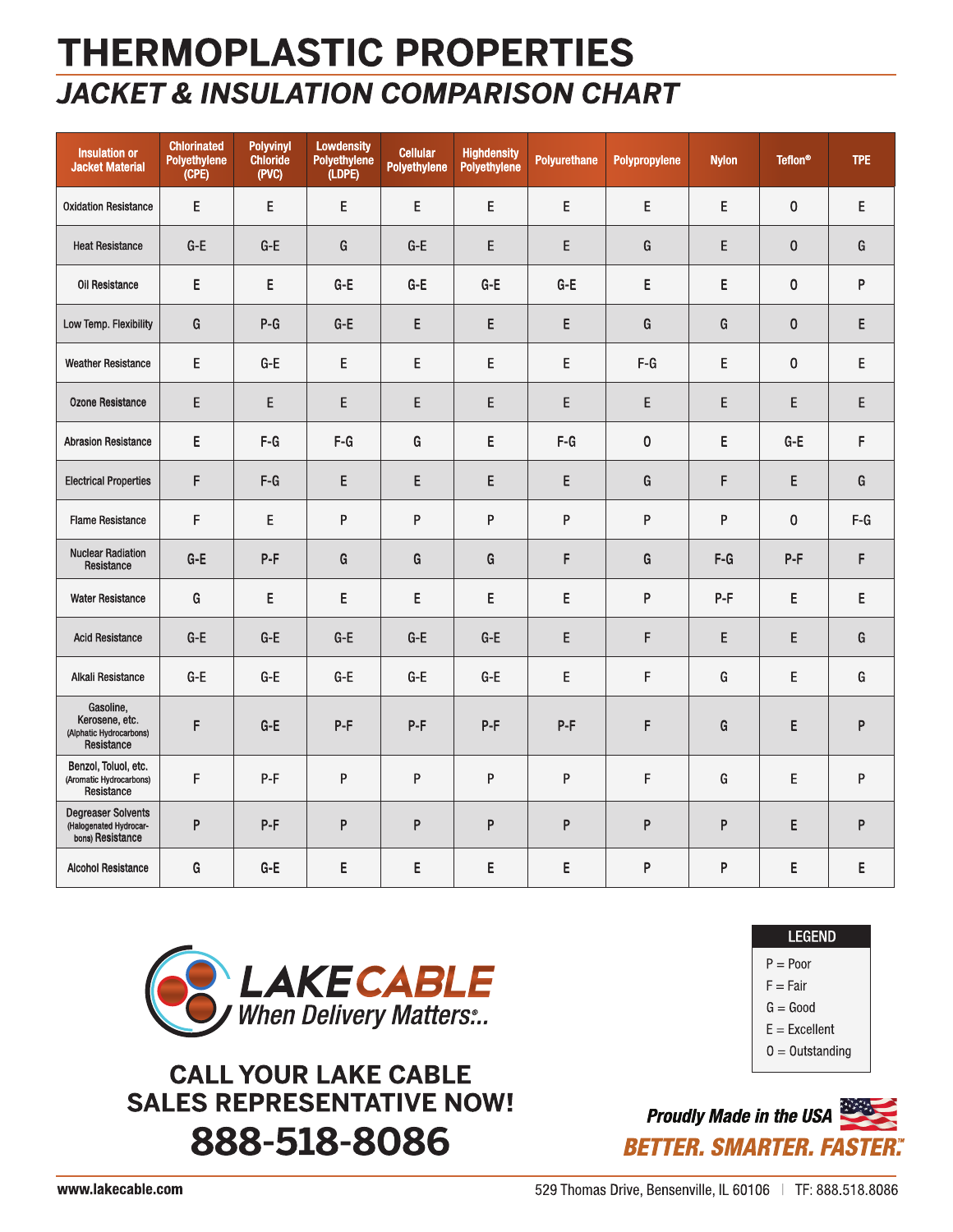## **THERMOPLASTIC PROPERTIES JACKET & INSULATION COMPARISON CHART**

| <b>Insulation or</b><br><b>Jacket Material</b>                          | <b>Chlorinated</b><br>Polyethylene<br>(CPE) | <b>Polyvinyl</b><br><b>Chloride</b><br>(PVC) | <b>Lowdensity</b><br>Polyethylene<br>(LDPE) | <b>Cellular</b><br><b>Polyethylene</b> | <b>Highdensity</b><br>Polyethylene | Polyurethane | Polypropylene | <b>Nylon</b> | <b>Teflon<sup>®</sup></b> | <b>TPE</b> |
|-------------------------------------------------------------------------|---------------------------------------------|----------------------------------------------|---------------------------------------------|----------------------------------------|------------------------------------|--------------|---------------|--------------|---------------------------|------------|
| <b>Oxidation Resistance</b>                                             | E                                           | E                                            | E                                           | E                                      | E                                  | E            | E             | E            | 0                         | E          |
| <b>Heat Resistance</b>                                                  | $G-E$                                       | $G-E$                                        | G                                           | $G-E$                                  | E                                  | E            | G             | E            | 0                         | G          |
| Oil Resistance                                                          | E                                           | E                                            | $G-E$                                       | $G-E$                                  | G-E                                | $G-E$        | E             | E            | $\mathbf{0}$              | P          |
| Low Temp. Flexibility                                                   | G                                           | $P-G$                                        | $G-E$                                       | E                                      | E                                  | E            | G             | G            | $\mathbf{0}$              | E          |
| <b>Weather Resistance</b>                                               | E                                           | $G-E$                                        | E                                           | E                                      | E                                  | E            | $F-G$         | E            | 0                         | E          |
| <b>Ozone Resistance</b>                                                 | E                                           | E                                            | E                                           | E                                      | E                                  | E            | E             | E            | E                         | E          |
| <b>Abrasion Resistance</b>                                              | E                                           | $F-G$                                        | $F-G$                                       | G                                      | E                                  | $F-G$        | 0             | E            | $G-E$                     | F          |
| <b>Electrical Properties</b>                                            | F                                           | $F-G$                                        | E                                           | E                                      | E                                  | E            | G             | F            | E                         | G          |
| <b>Flame Resistance</b>                                                 | F                                           | $\mathsf E$                                  | P                                           | P                                      | P                                  | P            | P             | P            | $\mathbf 0$               | $F-G$      |
| <b>Nuclear Radiation</b><br>Resistance                                  | G-E                                         | $P-F$                                        | G                                           | G                                      | G                                  | F            | G             | $F-G$        | $P-F$                     | F          |
| <b>Water Resistance</b>                                                 | G                                           | Ε                                            | Ε                                           | Ε                                      | Ε                                  | Ε            | P             | $P-F$        | Ε                         | E          |
| <b>Acid Resistance</b>                                                  | $G-E$                                       | $G-E$                                        | $G-E$                                       | $G-E$                                  | $G-E$                              | E            | F             | E            | E                         | G          |
| Alkali Resistance                                                       | $G-E$                                       | $G-E$                                        | $G-E$                                       | $G-E$                                  | $G-E$                              | E            | F             | G            | E                         | G          |
| Gasoline,<br>Kerosene, etc.<br>(Alphatic Hydrocarbons)<br>Resistance    | F                                           | $G-E$                                        | $P-F$                                       | $P-F$                                  | $P-F$                              | $P-F$        | F             | G            | E                         | ${\sf P}$  |
| Benzol, Toluol, etc.<br>(Aromatic Hydrocarbons)<br>Resistance           | F                                           | $P-F$                                        | P                                           | P                                      | P                                  | P            | F             | G            | E                         | P          |
| <b>Degreaser Solvents</b><br>(Halogenated Hydrocar-<br>bons) Resistance | P                                           | $P-F$                                        | P                                           | P                                      | P                                  | P            | P             | P            | E                         | P          |
| <b>Alcohol Resistance</b>                                               | G                                           | $G-E$                                        | E                                           | E                                      | E                                  | E            | P             | P            | E                         | E          |





**LEGEND**  $P = Poor$  $F = Fair$  $G = Good$  $E = Excellent$  $0 =$  Outstanding